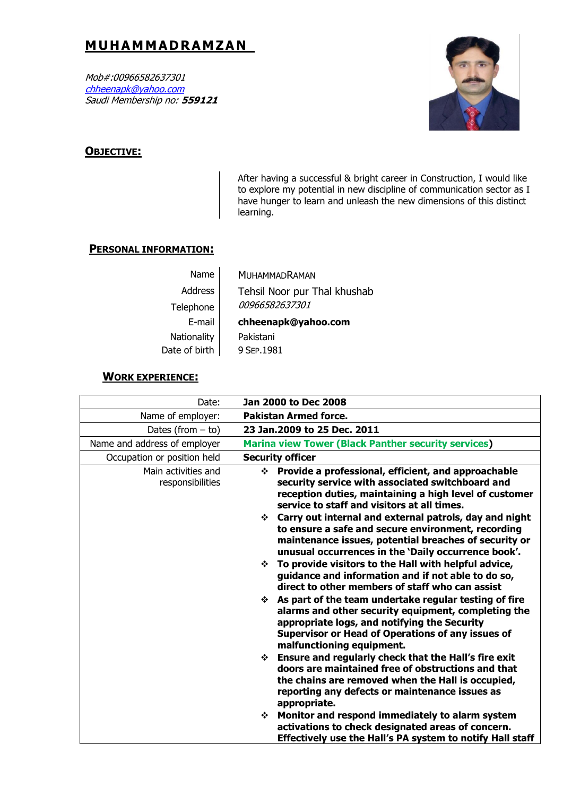# **M UHAM MADRAM ZAN**

Mob#:00966582637301 [chheenapk@yahoo.com](mailto:chheenapk@yahoo.com) Saudi Membership no: **559121**



## **OBJECTIVE:**

After having a successful & bright career in Construction, I would like to explore my potential in new discipline of communication sector as I have hunger to learn and unleash the new dimensions of this distinct learning.

### **PERSONAL INFORMATION:**

| Name           | <b>MUHAMMADRAMAN</b>         |
|----------------|------------------------------|
| <b>Address</b> | Tehsil Noor pur Thal khushab |
| Telephone      | <i>00966582637301</i>        |
| E-mail         | chheenapk@yahoo.com          |
| Nationality    | Pakistani                    |
| Date of birth  | 9 SFP.1981                   |

## **WORK EXPERIENCE:**

| Date:                                   | Jan 2000 to Dec 2008                                                                                                                                                                                                                                                                                                                                                                                                                                                                                                                                                                                                                                                                                                                                                                                                                                                                                                                                                                                                |
|-----------------------------------------|---------------------------------------------------------------------------------------------------------------------------------------------------------------------------------------------------------------------------------------------------------------------------------------------------------------------------------------------------------------------------------------------------------------------------------------------------------------------------------------------------------------------------------------------------------------------------------------------------------------------------------------------------------------------------------------------------------------------------------------------------------------------------------------------------------------------------------------------------------------------------------------------------------------------------------------------------------------------------------------------------------------------|
| Name of employer:                       | <b>Pakistan Armed force.</b>                                                                                                                                                                                                                                                                                                                                                                                                                                                                                                                                                                                                                                                                                                                                                                                                                                                                                                                                                                                        |
| Dates (from $-$ to)                     | 23 Jan.2009 to 25 Dec. 2011                                                                                                                                                                                                                                                                                                                                                                                                                                                                                                                                                                                                                                                                                                                                                                                                                                                                                                                                                                                         |
| Name and address of employer            | <b>Marina view Tower (Black Panther security services)</b>                                                                                                                                                                                                                                                                                                                                                                                                                                                                                                                                                                                                                                                                                                                                                                                                                                                                                                                                                          |
| Occupation or position held             | <b>Security officer</b>                                                                                                                                                                                                                                                                                                                                                                                                                                                                                                                                                                                                                                                                                                                                                                                                                                                                                                                                                                                             |
| Main activities and<br>responsibilities | Provide a professional, efficient, and approachable<br>❖<br>security service with associated switchboard and<br>reception duties, maintaining a high level of customer<br>service to staff and visitors at all times.<br>Carry out internal and external patrols, day and night<br>❖<br>to ensure a safe and secure environment, recording<br>maintenance issues, potential breaches of security or<br>unusual occurrences in the 'Daily occurrence book'.<br>To provide visitors to the Hall with helpful advice,<br>❖<br>guidance and information and if not able to do so,<br>direct to other members of staff who can assist<br>$\div$ As part of the team undertake regular testing of fire<br>alarms and other security equipment, completing the<br>appropriate logs, and notifying the Security<br><b>Supervisor or Head of Operations of any issues of</b><br>malfunctioning equipment.<br>Ensure and regularly check that the Hall's fire exit<br>❖<br>doors are maintained free of obstructions and that |
|                                         | the chains are removed when the Hall is occupied,<br>reporting any defects or maintenance issues as                                                                                                                                                                                                                                                                                                                                                                                                                                                                                                                                                                                                                                                                                                                                                                                                                                                                                                                 |
|                                         | appropriate.                                                                                                                                                                                                                                                                                                                                                                                                                                                                                                                                                                                                                                                                                                                                                                                                                                                                                                                                                                                                        |
|                                         | Monitor and respond immediately to alarm system<br>❖<br>activations to check designated areas of concern.<br>Effectively use the Hall's PA system to notify Hall staff                                                                                                                                                                                                                                                                                                                                                                                                                                                                                                                                                                                                                                                                                                                                                                                                                                              |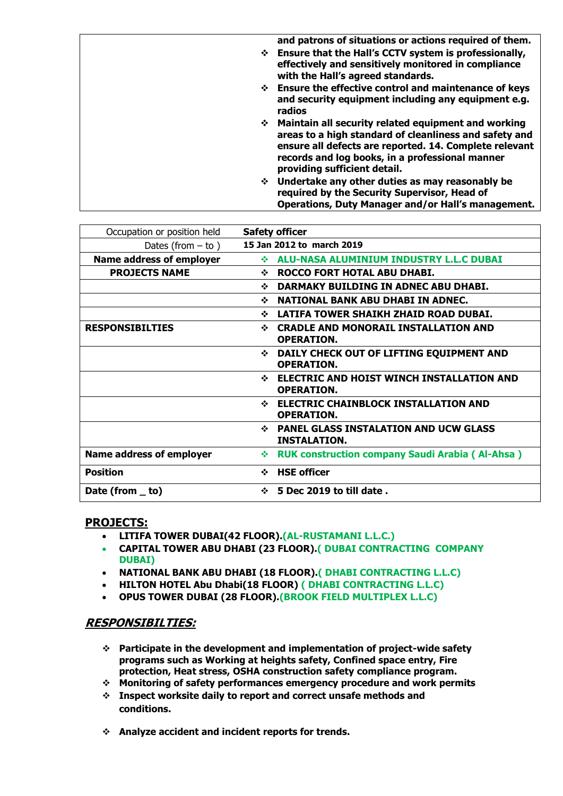|   | and patrons of situations or actions required of them.<br>❖ Ensure that the Hall's CCTV system is professionally,<br>effectively and sensitively monitored in compliance<br>with the Hall's agreed standards.                                              |
|---|------------------------------------------------------------------------------------------------------------------------------------------------------------------------------------------------------------------------------------------------------------|
|   | ❖ Ensure the effective control and maintenance of keys<br>and security equipment including any equipment e.g.<br>radios                                                                                                                                    |
| ❖ | Maintain all security related equipment and working<br>areas to a high standard of cleanliness and safety and<br>ensure all defects are reported. 14. Complete relevant<br>records and log books, in a professional manner<br>providing sufficient detail. |
| ❖ | Undertake any other duties as may reasonably be<br>required by the Security Supervisor, Head of<br><b>Operations, Duty Manager and/or Hall's management.</b>                                                                                               |

| Occupation or position held     | <b>Safety officer</b>                                       |
|---------------------------------|-------------------------------------------------------------|
| Dates (from $-$ to )            | 15 Jan 2012 to march 2019                                   |
| <b>Name address of employer</b> | ALU-NASA ALUMINIUM INDUSTRY L.L.C DUBAI<br>A.               |
| <b>PROJECTS NAME</b>            | <b>ROCCO FORT HOTAL ABU DHABI.</b><br>交易                    |
|                                 | DARMAKY BUILDING IN ADNEC ABU DHABI.<br>❖                   |
|                                 | NATIONAL BANK ABU DHABI IN ADNEC.<br>❖                      |
|                                 | LATIFA TOWER SHAIKH ZHAID ROAD DUBAI.<br>❖                  |
| <b>RESPONSIBILTIES</b>          | <b>CRADLE AND MONORAIL INSTALLATION AND</b><br>❖            |
|                                 | <b>OPERATION.</b>                                           |
|                                 | DAILY CHECK OUT OF LIFTING EQUIPMENT AND<br>❖               |
|                                 | <b>OPERATION.</b>                                           |
|                                 | ELECTRIC AND HOIST WINCH INSTALLATION AND<br>❖              |
|                                 | <b>OPERATION.</b>                                           |
|                                 | <b>ELECTRIC CHAINBLOCK INSTALLATION AND</b><br>❖            |
|                                 | <b>OPERATION.</b>                                           |
|                                 | <b>PANEL GLASS INSTALATION AND UCW GLASS</b><br>❖           |
|                                 | <b>INSTALATION.</b>                                         |
| <b>Name address of employer</b> | <b>RUK construction company Saudi Arabia (Al-Ahsa)</b><br>÷ |
| <b>Position</b>                 | <b>HSE officer</b><br>÷                                     |
| Date (from _ to)                | 5 Dec 2019 to till date.<br>❖                               |

## **PROJECTS:**

- **LITIFA TOWER DUBAI(42 FLOOR).(AL-RUSTAMANI L.L.C.)**
- **CAPITAL TOWER ABU DHABI (23 FLOOR).( DUBAI CONTRACTING COMPANY DUBAI)**
- **NATIONAL BANK ABU DHABI (18 FLOOR).( DHABI CONTRACTING L.L.C)**
- **HILTON HOTEL Abu Dhabi(18 FLOOR) ( DHABI CONTRACTING L.L.C)**
- **OPUS TOWER DUBAI (28 FLOOR).(BROOK FIELD MULTIPLEX L.L.C)**

## **RESPONSIBILTIES:**

- **Participate in the development and implementation of project-wide safety programs such as Working at heights safety, Confined space entry, Fire protection, Heat stress, OSHA construction safety compliance program.**
- **Monitoring of safety performances emergency procedure and work permits**
- **Inspect worksite daily to report and correct unsafe methods and conditions.**
- **Analyze accident and incident reports for trends.**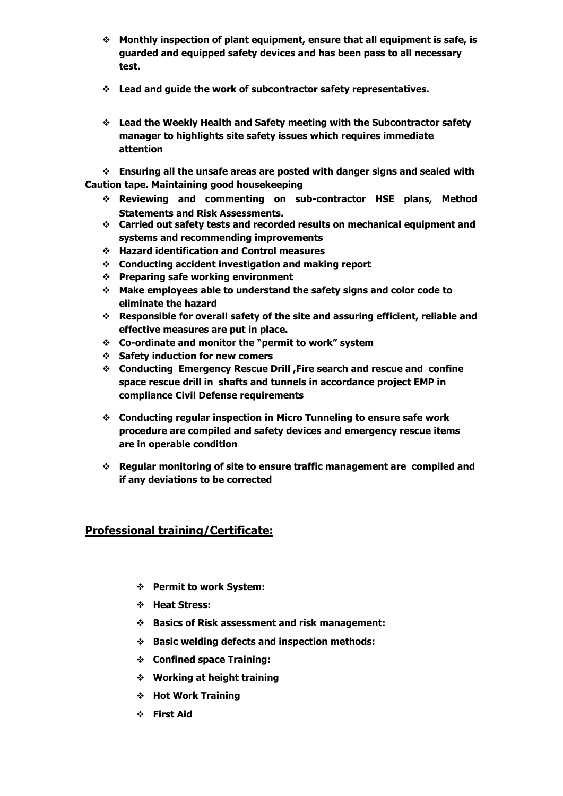- **Monthly inspection of plant equipment, ensure that all equipment is safe, is guarded and equipped safety devices and has been pass to all necessary test.**
- **Lead and guide the work of subcontractor safety representatives.**
- **Lead the Weekly Health and Safety meeting with the Subcontractor safety manager to highlights site safety issues which requires immediate attention**

 **Ensuring all the unsafe areas are posted with danger signs and sealed with Caution tape. Maintaining good housekeeping**

- **Reviewing and commenting on sub-contractor HSE plans, Method Statements and Risk Assessments.**
- **Carried out safety tests and recorded results on mechanical equipment and systems and recommending improvements**
- **Hazard identification and Control measures**
- **Conducting accident investigation and making report**
- **Preparing safe working environment**
- **Make employees able to understand the safety signs and color code to eliminate the hazard**
- **Responsible for overall safety of the site and assuring efficient, reliable and effective measures are put in place.**
- **Co-ordinate and monitor the "permit to work" system**
- **Safety induction for new comers**
- **Conducting Emergency Rescue Drill ,Fire search and rescue and confine space rescue drill in shafts and tunnels in accordance project EMP in compliance Civil Defense requirements**
- **Conducting regular inspection in Micro Tunneling to ensure safe work procedure are compiled and safety devices and emergency rescue items are in operable condition**
- **Regular monitoring of site to ensure traffic management are compiled and if any deviations to be corrected**

# **Professional training/Certificate:**

- **Permit to work System:**
- **Heat Stress:**
- **Basics of Risk assessment and risk management:**
- **Basic welding defects and inspection methods:**
- **Confined space Training:**
- **Working at height training**
- **Hot Work Training**
- **First Aid**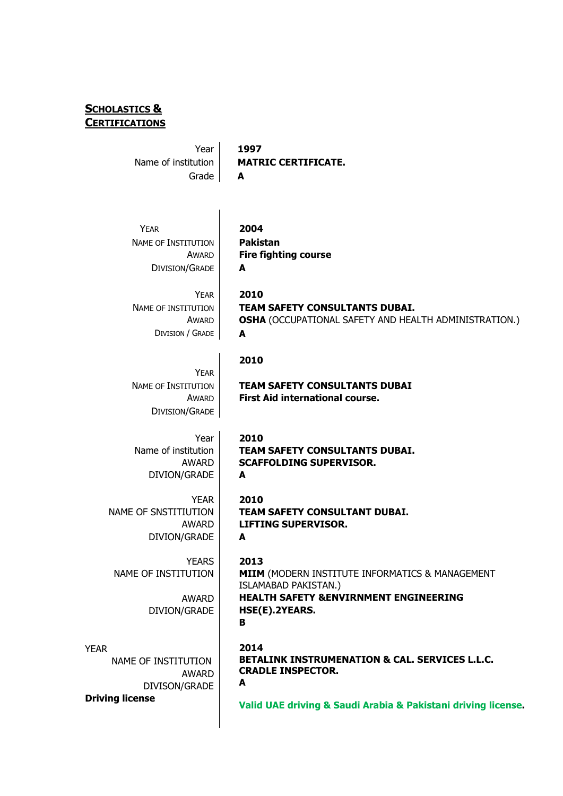## **SCHOLASTICS & CERTIFICATIONS**

Grade **A**

Year **1997** Name of institution **MATRIC CERTIFICATE.** 

YEAR **2004** NAME OF INSTITUTION AWARD DIVISION/GRADE **A**

**Pakistan Fire fighting course**

NAME OF INSTITUTION AWARD DIVISION / GRADE **A**

YEAR **2010 TEAM SAFETY CONSULTANTS DUBAI. OSHA** (OCCUPATIONAL SAFETY AND HEALTH ADMINISTRATION.)

## **2010**

**2010**

**2010**

**2013**

**A**

**A**

**A**

YEAR NAME OF INSTITUTION AWARD DIVISION/GRADE

**TEAM SAFETY CONSULTANTS DUBAI First Aid international course.**

**TEAM SAFETY CONSULTANTS DUBAI.**

**TEAM SAFETY CONSULTANT DUBAI.**

**SCAFFOLDING SUPERVISOR.**

**LIFTING SUPERVISOR.**

Year Name of institution AWARD DIVION/GRADE

YEAR NAME OF SNSTITIUTION AWARD DIVION/GRADE

YEARS NAME OF INSTITUTION

> AWARD DIVION/GRADE

YEAR NAME OF INSTITUTION AWARD DIVISON/GRADE

**Driving license** 

**MIIM** (MODERN INSTITUTE INFORMATICS & MANAGEMENT ISLAMABAD PAKISTAN.) **HEALTH SAFETY &ENVIRNMENT ENGINEERING HSE(E).2YEARS. B 2014 BETALINK INSTRUMENATION & CAL. SERVICES L.L.C. CRADLE INSPECTOR.**

**Valid UAE driving & Saudi Arabia & Pakistani driving license.**